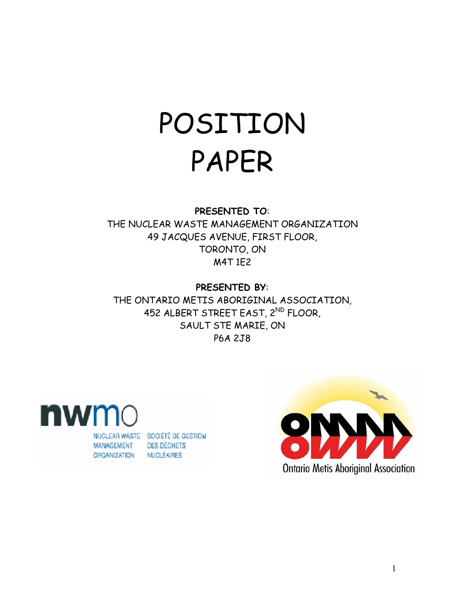# POSITION PAPER

## **PRESENTED TO**:

THE NUCLEAR WASTE MANAGEMENT ORGANIZATION 49 JACQUES AVENUE, FIRST FLOOR, TORONTO, ON M4T 1E2

**PRESENTED BY**:

THE ONTARIO METIS ABORIGINAL ASSOCIATION, 452 ALBERT STREET EAST, 2ND FLOOR, SAULT STE MARIE, ON P6A 2J8



**ORGANIZATION** 

NUCLEAR WASTE SOCIÉTÉ DE GESTION **DES DÉCHETS** NUCLÉAIRES

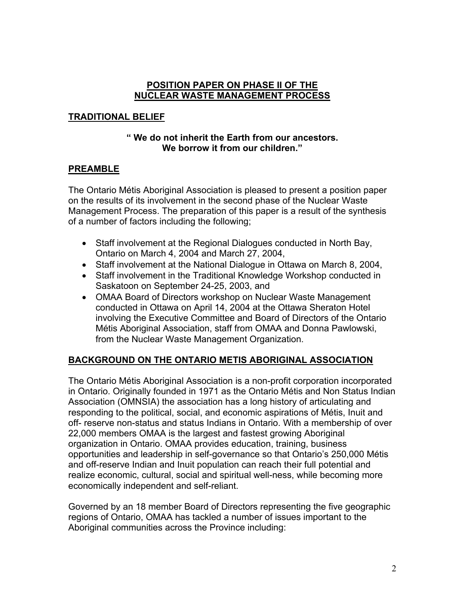#### **POSITION PAPER ON PHASE II OF THE NUCLEAR WASTE MANAGEMENT PROCESS**

## **TRADITIONAL BELIEF**

#### **" We do not inherit the Earth from our ancestors. We borrow it from our children."**

## **PREAMBLE**

The Ontario Métis Aboriginal Association is pleased to present a position paper on the results of its involvement in the second phase of the Nuclear Waste Management Process. The preparation of this paper is a result of the synthesis of a number of factors including the following;

- Staff involvement at the Regional Dialogues conducted in North Bay, Ontario on March 4, 2004 and March 27, 2004,
- Staff involvement at the National Dialogue in Ottawa on March 8, 2004,
- Staff involvement in the Traditional Knowledge Workshop conducted in Saskatoon on September 24-25, 2003, and
- OMAA Board of Directors workshop on Nuclear Waste Management conducted in Ottawa on April 14, 2004 at the Ottawa Sheraton Hotel involving the Executive Committee and Board of Directors of the Ontario Métis Aboriginal Association, staff from OMAA and Donna Pawlowski, from the Nuclear Waste Management Organization.

# **BACKGROUND ON THE ONTARIO METIS ABORIGINAL ASSOCIATION**

The Ontario Métis Aboriginal Association is a non-profit corporation incorporated in Ontario. Originally founded in 1971 as the Ontario Métis and Non Status Indian Association (OMNSIA) the association has a long history of articulating and responding to the political, social, and economic aspirations of Métis, Inuit and off- reserve non-status and status Indians in Ontario. With a membership of over 22,000 members OMAA is the largest and fastest growing Aboriginal organization in Ontario. OMAA provides education, training, business opportunities and leadership in self-governance so that Ontario's 250,000 Métis and off-reserve Indian and Inuit population can reach their full potential and realize economic, cultural, social and spiritual well-ness, while becoming more economically independent and self-reliant.

Governed by an 18 member Board of Directors representing the five geographic regions of Ontario, OMAA has tackled a number of issues important to the Aboriginal communities across the Province including: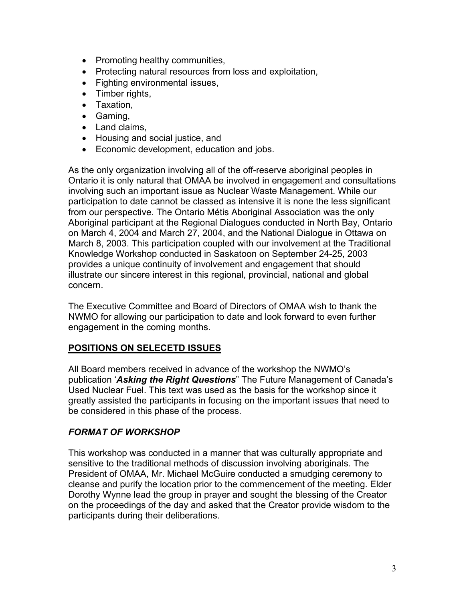- Promoting healthy communities,
- Protecting natural resources from loss and exploitation,
- Fighting environmental issues,
- Timber rights,
- Taxation,
- Gaming,
- Land claims.
- Housing and social justice, and
- Economic development, education and jobs.

As the only organization involving all of the off-reserve aboriginal peoples in Ontario it is only natural that OMAA be involved in engagement and consultations involving such an important issue as Nuclear Waste Management. While our participation to date cannot be classed as intensive it is none the less significant from our perspective. The Ontario Métis Aboriginal Association was the only Aboriginal participant at the Regional Dialogues conducted in North Bay, Ontario on March 4, 2004 and March 27, 2004, and the National Dialogue in Ottawa on March 8, 2003. This participation coupled with our involvement at the Traditional Knowledge Workshop conducted in Saskatoon on September 24-25, 2003 provides a unique continuity of involvement and engagement that should illustrate our sincere interest in this regional, provincial, national and global concern.

The Executive Committee and Board of Directors of OMAA wish to thank the NWMO for allowing our participation to date and look forward to even further engagement in the coming months.

#### **POSITIONS ON SELECETD ISSUES**

All Board members received in advance of the workshop the NWMO's publication '*Asking the Right Questions*" The Future Management of Canada's Used Nuclear Fuel. This text was used as the basis for the workshop since it greatly assisted the participants in focusing on the important issues that need to be considered in this phase of the process.

## *FORMAT OF WORKSHOP*

This workshop was conducted in a manner that was culturally appropriate and sensitive to the traditional methods of discussion involving aboriginals. The President of OMAA, Mr. Michael McGuire conducted a smudging ceremony to cleanse and purify the location prior to the commencement of the meeting. Elder Dorothy Wynne lead the group in prayer and sought the blessing of the Creator on the proceedings of the day and asked that the Creator provide wisdom to the participants during their deliberations.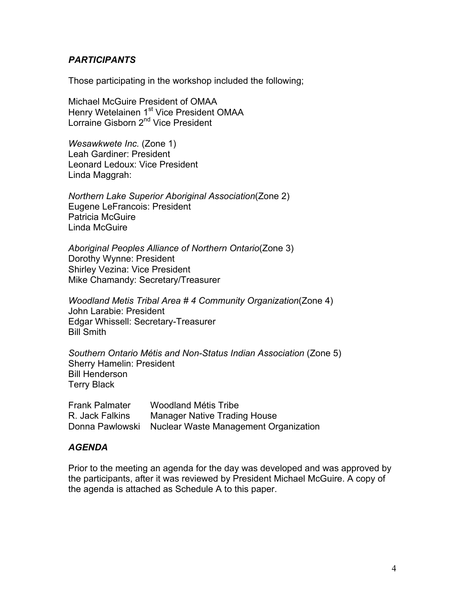#### *PARTICIPANTS*

Those participating in the workshop included the following;

Michael McGuire President of OMAA Henry Wetelainen 1<sup>st</sup> Vice President OMAA Lorraine Gisborn 2<sup>nd</sup> Vice President

*Wesawkwete Inc.* (Zone 1) Leah Gardiner: President Leonard Ledoux: Vice President Linda Maggrah:

*Northern Lake Superior Aboriginal Association*(Zone 2) Eugene LeFrancois: President Patricia McGuire Linda McGuire

*Aboriginal Peoples Alliance of Northern Ontario*(Zone 3) Dorothy Wynne: President Shirley Vezina: Vice President Mike Chamandy: Secretary/Treasurer

*Woodland Metis Tribal Area # 4 Community Organization*(Zone 4) John Larabie: President Edgar Whissell: Secretary-Treasurer Bill Smith

*Southern Ontario Métis and Non-Status Indian Association* (Zone 5) Sherry Hamelin: President Bill Henderson Terry Black

| <b>Frank Palmater</b> | Woodland Métis Tribe                                  |
|-----------------------|-------------------------------------------------------|
| R. Jack Falkins       | <b>Manager Native Trading House</b>                   |
|                       | Donna Pawlowski Nuclear Waste Management Organization |

## *AGENDA*

Prior to the meeting an agenda for the day was developed and was approved by the participants, after it was reviewed by President Michael McGuire. A copy of the agenda is attached as Schedule A to this paper.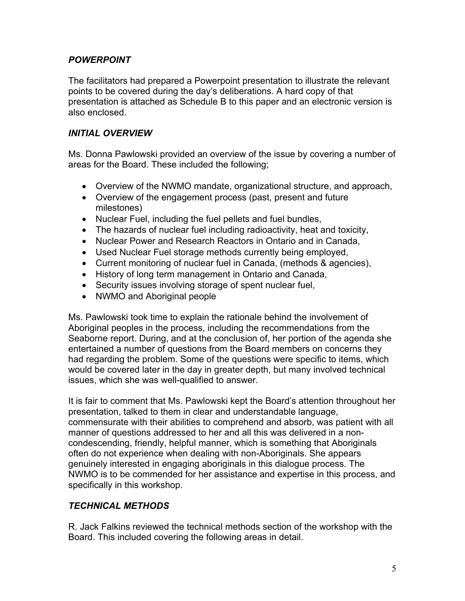## *POWERPOINT*

The facilitators had prepared a Powerpoint presentation to illustrate the relevant points to be covered during the day's deliberations. A hard copy of that presentation is attached as Schedule B to this paper and an electronic version is also enclosed.

#### *INITIAL OVERVIEW*

Ms. Donna Pawlowski provided an overview of the issue by covering a number of areas for the Board. These included the following;

- Overview of the NWMO mandate, organizational structure, and approach,
- Overview of the engagement process (past, present and future milestones)
- Nuclear Fuel, including the fuel pellets and fuel bundles,
- The hazards of nuclear fuel including radioactivity, heat and toxicity,
- Nuclear Power and Research Reactors in Ontario and in Canada,
- Used Nuclear Fuel storage methods currently being employed,
- Current monitoring of nuclear fuel in Canada, (methods & agencies),
- History of long term management in Ontario and Canada,
- Security issues involving storage of spent nuclear fuel,
- NWMO and Aboriginal people

Ms. Pawlowski took time to explain the rationale behind the involvement of Aboriginal peoples in the process, including the recommendations from the Seaborne report. During, and at the conclusion of, her portion of the agenda she entertained a number of questions from the Board members on concerns they had regarding the problem. Some of the questions were specific to items, which would be covered later in the day in greater depth, but many involved technical issues, which she was well-qualified to answer.

It is fair to comment that Ms. Pawlowski kept the Board's attention throughout her presentation, talked to them in clear and understandable language, commensurate with their abilities to comprehend and absorb, was patient with all manner of questions addressed to her and all this was delivered in a noncondescending, friendly, helpful manner, which is something that Aboriginals often do not experience when dealing with non-Aboriginals. She appears genuinely interested in engaging aboriginals in this dialogue process. The NWMO is to be commended for her assistance and expertise in this process, and specifically in this workshop.

## *TECHNICAL METHODS*

R. Jack Falkins reviewed the technical methods section of the workshop with the Board. This included covering the following areas in detail.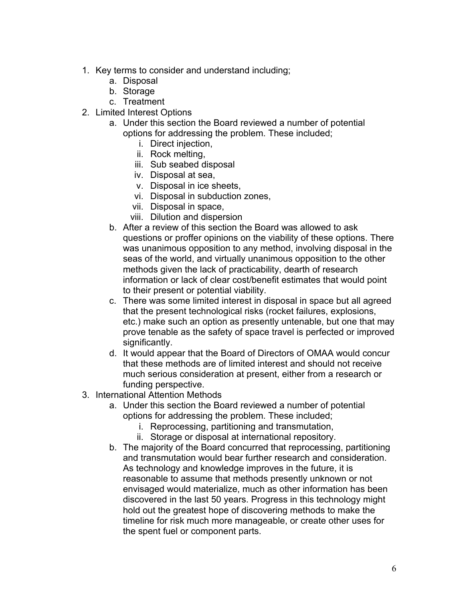- 1. Key terms to consider and understand including;
	- a. Disposal
	- b. Storage
	- c. Treatment
- 2. Limited Interest Options
	- a. Under this section the Board reviewed a number of potential options for addressing the problem. These included;
		- i. Direct injection,
		- ii. Rock melting,
		- iii. Sub seabed disposal
		- iv. Disposal at sea,
		- v. Disposal in ice sheets,
		- vi. Disposal in subduction zones,
		- vii. Disposal in space,
		- viii. Dilution and dispersion
	- b. After a review of this section the Board was allowed to ask questions or proffer opinions on the viability of these options. There was unanimous opposition to any method, involving disposal in the seas of the world, and virtually unanimous opposition to the other methods given the lack of practicability, dearth of research information or lack of clear cost/benefit estimates that would point to their present or potential viability.
	- c. There was some limited interest in disposal in space but all agreed that the present technological risks (rocket failures, explosions, etc.) make such an option as presently untenable, but one that may prove tenable as the safety of space travel is perfected or improved significantly.
	- d. It would appear that the Board of Directors of OMAA would concur that these methods are of limited interest and should not receive much serious consideration at present, either from a research or funding perspective.
- 3. International Attention Methods
	- a. Under this section the Board reviewed a number of potential options for addressing the problem. These included;
		- i. Reprocessing, partitioning and transmutation,
		- ii. Storage or disposal at international repository.
	- b. The majority of the Board concurred that reprocessing, partitioning and transmutation would bear further research and consideration. As technology and knowledge improves in the future, it is reasonable to assume that methods presently unknown or not envisaged would materialize, much as other information has been discovered in the last 50 years. Progress in this technology might hold out the greatest hope of discovering methods to make the timeline for risk much more manageable, or create other uses for the spent fuel or component parts.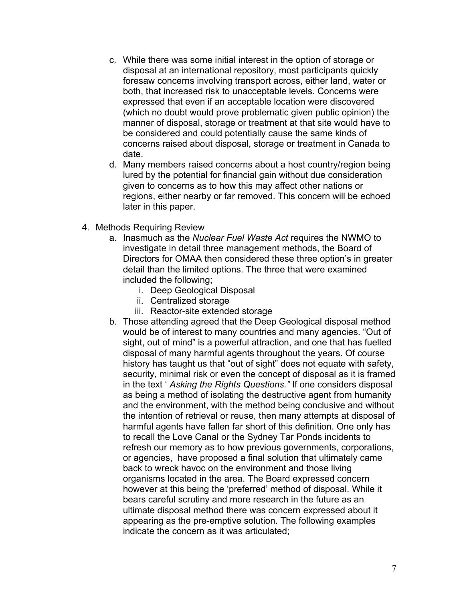- c. While there was some initial interest in the option of storage or disposal at an international repository, most participants quickly foresaw concerns involving transport across, either land, water or both, that increased risk to unacceptable levels. Concerns were expressed that even if an acceptable location were discovered (which no doubt would prove problematic given public opinion) the manner of disposal, storage or treatment at that site would have to be considered and could potentially cause the same kinds of concerns raised about disposal, storage or treatment in Canada to date.
- d. Many members raised concerns about a host country/region being lured by the potential for financial gain without due consideration given to concerns as to how this may affect other nations or regions, either nearby or far removed. This concern will be echoed later in this paper.
- 4. Methods Requiring Review
	- a. Inasmuch as the *Nuclear Fuel Waste Act* requires the NWMO to investigate in detail three management methods, the Board of Directors for OMAA then considered these three option's in greater detail than the limited options. The three that were examined included the following;
		- i. Deep Geological Disposal
		- ii. Centralized storage
		- iii. Reactor-site extended storage
	- b. Those attending agreed that the Deep Geological disposal method would be of interest to many countries and many agencies. "Out of sight, out of mind" is a powerful attraction, and one that has fuelled disposal of many harmful agents throughout the years. Of course history has taught us that "out of sight" does not equate with safety, security, minimal risk or even the concept of disposal as it is framed in the text ' *Asking the Rights Questions."* If one considers disposal as being a method of isolating the destructive agent from humanity and the environment, with the method being conclusive and without the intention of retrieval or reuse, then many attempts at disposal of harmful agents have fallen far short of this definition. One only has to recall the Love Canal or the Sydney Tar Ponds incidents to refresh our memory as to how previous governments, corporations, or agencies, have proposed a final solution that ultimately came back to wreck havoc on the environment and those living organisms located in the area. The Board expressed concern however at this being the 'preferred' method of disposal. While it bears careful scrutiny and more research in the future as an ultimate disposal method there was concern expressed about it appearing as the pre-emptive solution. The following examples indicate the concern as it was articulated;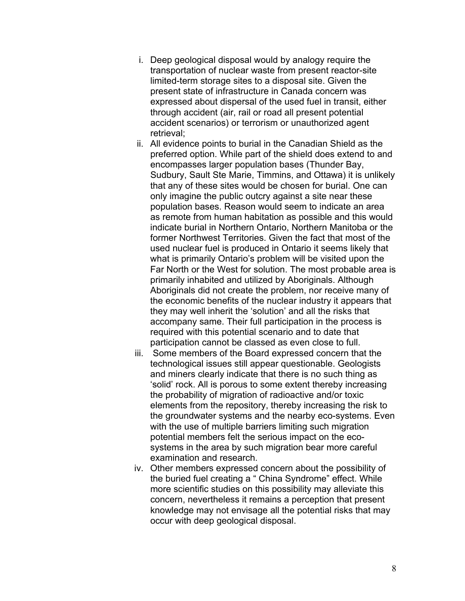- i. Deep geological disposal would by analogy require the transportation of nuclear waste from present reactor-site limited-term storage sites to a disposal site. Given the present state of infrastructure in Canada concern was expressed about dispersal of the used fuel in transit, either through accident (air, rail or road all present potential accident scenarios) or terrorism or unauthorized agent retrieval;
- ii. All evidence points to burial in the Canadian Shield as the preferred option. While part of the shield does extend to and encompasses larger population bases (Thunder Bay, Sudbury, Sault Ste Marie, Timmins, and Ottawa) it is unlikely that any of these sites would be chosen for burial. One can only imagine the public outcry against a site near these population bases. Reason would seem to indicate an area as remote from human habitation as possible and this would indicate burial in Northern Ontario, Northern Manitoba or the former Northwest Territories. Given the fact that most of the used nuclear fuel is produced in Ontario it seems likely that what is primarily Ontario's problem will be visited upon the Far North or the West for solution. The most probable area is primarily inhabited and utilized by Aboriginals. Although Aboriginals did not create the problem, nor receive many of the economic benefits of the nuclear industry it appears that they may well inherit the 'solution' and all the risks that accompany same. Their full participation in the process is required with this potential scenario and to date that participation cannot be classed as even close to full.
- iii. Some members of the Board expressed concern that the technological issues still appear questionable. Geologists and miners clearly indicate that there is no such thing as 'solid' rock. All is porous to some extent thereby increasing the probability of migration of radioactive and/or toxic elements from the repository, thereby increasing the risk to the groundwater systems and the nearby eco-systems. Even with the use of multiple barriers limiting such migration potential members felt the serious impact on the ecosystems in the area by such migration bear more careful examination and research.
- iv. Other members expressed concern about the possibility of the buried fuel creating a " China Syndrome" effect. While more scientific studies on this possibility may alleviate this concern, nevertheless it remains a perception that present knowledge may not envisage all the potential risks that may occur with deep geological disposal.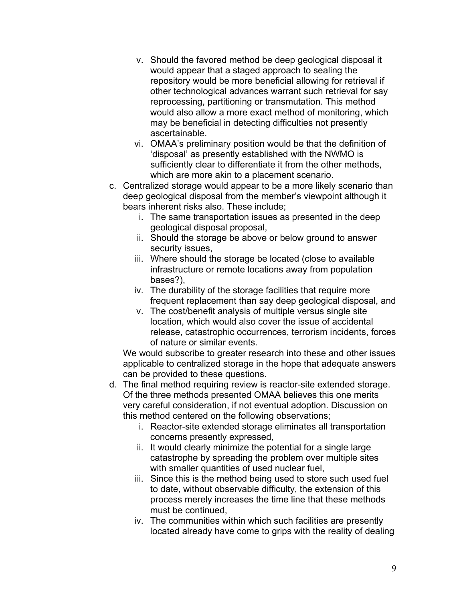- v. Should the favored method be deep geological disposal it would appear that a staged approach to sealing the repository would be more beneficial allowing for retrieval if other technological advances warrant such retrieval for say reprocessing, partitioning or transmutation. This method would also allow a more exact method of monitoring, which may be beneficial in detecting difficulties not presently ascertainable.
- vi. OMAA's preliminary position would be that the definition of 'disposal' as presently established with the NWMO is sufficiently clear to differentiate it from the other methods, which are more akin to a placement scenario.
- c. Centralized storage would appear to be a more likely scenario than deep geological disposal from the member's viewpoint although it bears inherent risks also. These include;
	- i. The same transportation issues as presented in the deep geological disposal proposal,
	- ii. Should the storage be above or below ground to answer security issues,
	- iii. Where should the storage be located (close to available infrastructure or remote locations away from population bases?),
	- iv. The durability of the storage facilities that require more frequent replacement than say deep geological disposal, and
	- v. The cost/benefit analysis of multiple versus single site location, which would also cover the issue of accidental release, catastrophic occurrences, terrorism incidents, forces of nature or similar events.

We would subscribe to greater research into these and other issues applicable to centralized storage in the hope that adequate answers can be provided to these questions.

- d. The final method requiring review is reactor-site extended storage. Of the three methods presented OMAA believes this one merits very careful consideration, if not eventual adoption. Discussion on this method centered on the following observations;
	- i. Reactor-site extended storage eliminates all transportation concerns presently expressed,
	- ii. It would clearly minimize the potential for a single large catastrophe by spreading the problem over multiple sites with smaller quantities of used nuclear fuel,
	- iii. Since this is the method being used to store such used fuel to date, without observable difficulty, the extension of this process merely increases the time line that these methods must be continued,
	- iv. The communities within which such facilities are presently located already have come to grips with the reality of dealing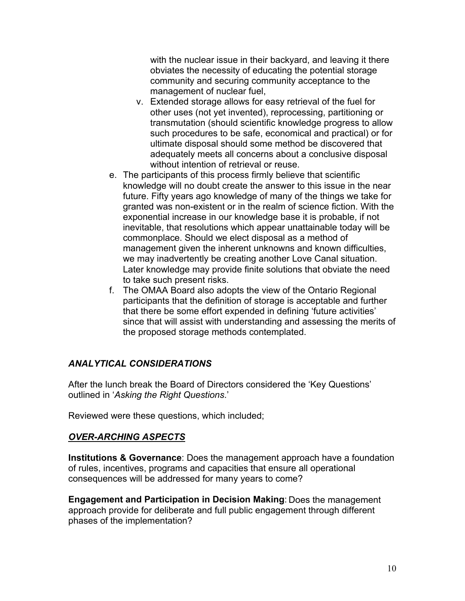with the nuclear issue in their backyard, and leaving it there obviates the necessity of educating the potential storage community and securing community acceptance to the management of nuclear fuel,

- v. Extended storage allows for easy retrieval of the fuel for other uses (not yet invented), reprocessing, partitioning or transmutation (should scientific knowledge progress to allow such procedures to be safe, economical and practical) or for ultimate disposal should some method be discovered that adequately meets all concerns about a conclusive disposal without intention of retrieval or reuse.
- e. The participants of this process firmly believe that scientific knowledge will no doubt create the answer to this issue in the near future. Fifty years ago knowledge of many of the things we take for granted was non-existent or in the realm of science fiction. With the exponential increase in our knowledge base it is probable, if not inevitable, that resolutions which appear unattainable today will be commonplace. Should we elect disposal as a method of management given the inherent unknowns and known difficulties, we may inadvertently be creating another Love Canal situation. Later knowledge may provide finite solutions that obviate the need to take such present risks.
- f. The OMAA Board also adopts the view of the Ontario Regional participants that the definition of storage is acceptable and further that there be some effort expended in defining 'future activities' since that will assist with understanding and assessing the merits of the proposed storage methods contemplated.

# *ANALYTICAL CONSIDERATIONS*

After the lunch break the Board of Directors considered the 'Key Questions' outlined in '*Asking the Right Questions*.'

Reviewed were these questions, which included;

## *OVER-ARCHING ASPECTS*

**Institutions & Governance**: Does the management approach have a foundation of rules, incentives, programs and capacities that ensure all operational consequences will be addressed for many years to come?

7. **Engagement and Participation in Decision Making**: Does the management approach provide for deliberate and full public engagement through different phases of the implementation?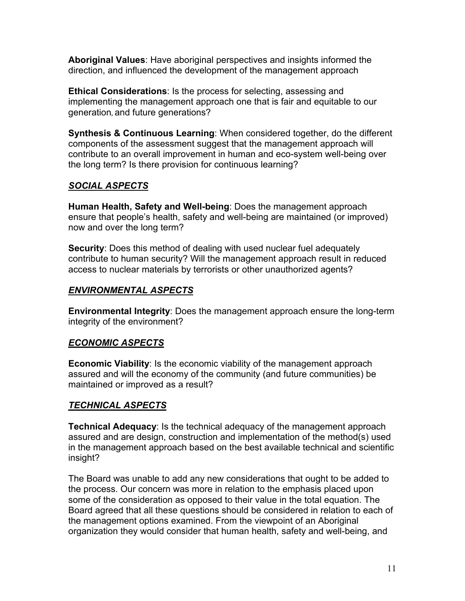**Aboriginal Values**: Have aboriginal perspectives and insights informed the direction, and influenced the development of the management approach

**Ethical Considerations**: Is the process for selecting, assessing and implementing the management approach one that is fair and equitable to our generation**,** and future generations?

**Synthesis & Continuous Learning**: When considered together, do the different components of the assessment suggest that the management approach will contribute to an overall improvement in human and eco-system well-being over the long term? Is there provision for continuous learning?

# *SOCIAL ASPECTS*

**Human Health, Safety and Well-being**: Does the management approach ensure that people's health, safety and well-being are maintained (or improved) now and over the long term?

**Security**: Does this method of dealing with used nuclear fuel adequately contribute to human security? Will the management approach result in reduced access to nuclear materials by terrorists or other unauthorized agents?

## *ENVIRONMENTAL ASPECTS*

**Environmental Integrity**: Does the management approach ensure the long-term integrity of the environment?

# *ECONOMIC ASPECTS*

**Economic Viability**: Is the economic viability of the management approach assured and will the economy of the community (and future communities) be maintained or improved as a result?

# *TECHNICAL ASPECTS*

**Technical Adequacy**: Is the technical adequacy of the management approach assured and are design, construction and implementation of the method(s) used in the management approach based on the best available technical and scientific insight?

The Board was unable to add any new considerations that ought to be added to the process. Our concern was more in relation to the emphasis placed upon some of the consideration as opposed to their value in the total equation. The Board agreed that all these questions should be considered in relation to each of the management options examined. From the viewpoint of an Aboriginal organization they would consider that human health, safety and well-being, and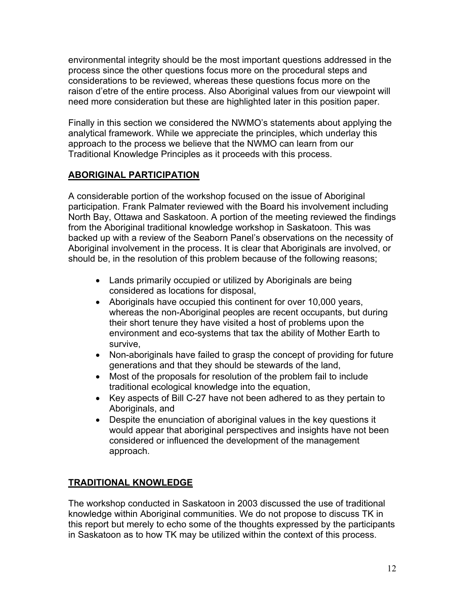environmental integrity should be the most important questions addressed in the process since the other questions focus more on the procedural steps and considerations to be reviewed, whereas these questions focus more on the raison d'etre of the entire process. Also Aboriginal values from our viewpoint will need more consideration but these are highlighted later in this position paper.

Finally in this section we considered the NWMO's statements about applying the analytical framework. While we appreciate the principles, which underlay this approach to the process we believe that the NWMO can learn from our Traditional Knowledge Principles as it proceeds with this process.

# **ABORIGINAL PARTICIPATION**

A considerable portion of the workshop focused on the issue of Aboriginal participation. Frank Palmater reviewed with the Board his involvement including North Bay, Ottawa and Saskatoon. A portion of the meeting reviewed the findings from the Aboriginal traditional knowledge workshop in Saskatoon. This was backed up with a review of the Seaborn Panel's observations on the necessity of Aboriginal involvement in the process. It is clear that Aboriginals are involved, or should be, in the resolution of this problem because of the following reasons;

- Lands primarily occupied or utilized by Aboriginals are being considered as locations for disposal,
- Aboriginals have occupied this continent for over 10,000 years, whereas the non-Aboriginal peoples are recent occupants, but during their short tenure they have visited a host of problems upon the environment and eco-systems that tax the ability of Mother Earth to survive,
- Non-aboriginals have failed to grasp the concept of providing for future generations and that they should be stewards of the land,
- Most of the proposals for resolution of the problem fail to include traditional ecological knowledge into the equation,
- Key aspects of Bill C-27 have not been adhered to as they pertain to Aboriginals, and
- Despite the enunciation of aboriginal values in the key questions it would appear that aboriginal perspectives and insights have not been considered or influenced the development of the management approach.

# **TRADITIONAL KNOWLEDGE**

The workshop conducted in Saskatoon in 2003 discussed the use of traditional knowledge within Aboriginal communities. We do not propose to discuss TK in this report but merely to echo some of the thoughts expressed by the participants in Saskatoon as to how TK may be utilized within the context of this process.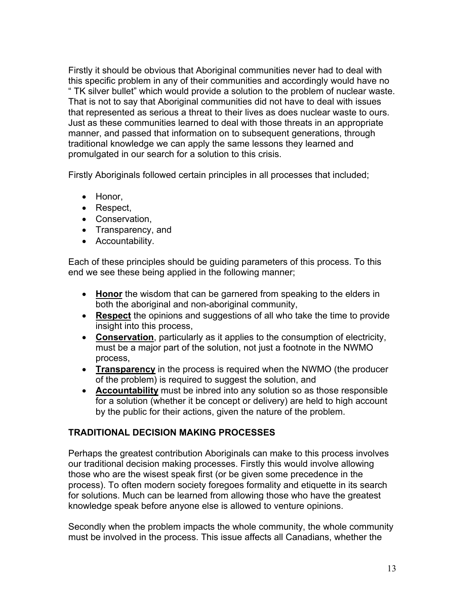Firstly it should be obvious that Aboriginal communities never had to deal with this specific problem in any of their communities and accordingly would have no " TK silver bullet" which would provide a solution to the problem of nuclear waste. That is not to say that Aboriginal communities did not have to deal with issues that represented as serious a threat to their lives as does nuclear waste to ours. Just as these communities learned to deal with those threats in an appropriate manner, and passed that information on to subsequent generations, through traditional knowledge we can apply the same lessons they learned and promulgated in our search for a solution to this crisis.

Firstly Aboriginals followed certain principles in all processes that included;

- Honor,
- Respect,
- Conservation,
- Transparency, and
- Accountability.

Each of these principles should be guiding parameters of this process. To this end we see these being applied in the following manner;

- **Honor** the wisdom that can be garnered from speaking to the elders in both the aboriginal and non-aboriginal community,
- **Respect** the opinions and suggestions of all who take the time to provide insight into this process,
- **Conservation**, particularly as it applies to the consumption of electricity, must be a major part of the solution, not just a footnote in the NWMO process,
- **Transparency** in the process is required when the NWMO (the producer of the problem) is required to suggest the solution, and
- **Accountability** must be inbred into any solution so as those responsible for a solution (whether it be concept or delivery) are held to high account by the public for their actions, given the nature of the problem.

# **TRADITIONAL DECISION MAKING PROCESSES**

Perhaps the greatest contribution Aboriginals can make to this process involves our traditional decision making processes. Firstly this would involve allowing those who are the wisest speak first (or be given some precedence in the process). To often modern society foregoes formality and etiquette in its search for solutions. Much can be learned from allowing those who have the greatest knowledge speak before anyone else is allowed to venture opinions.

Secondly when the problem impacts the whole community, the whole community must be involved in the process. This issue affects all Canadians, whether the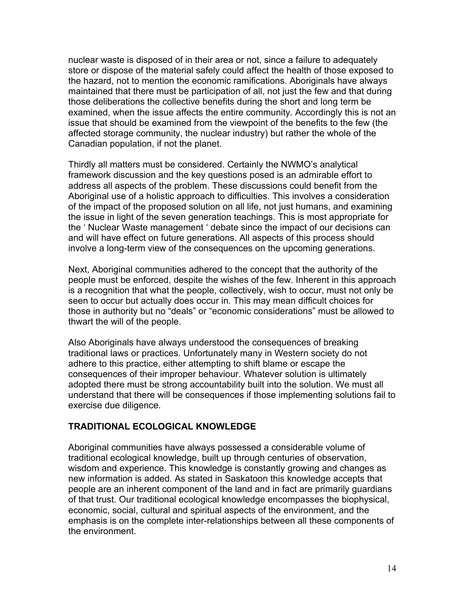nuclear waste is disposed of in their area or not, since a failure to adequately store or dispose of the material safely could affect the health of those exposed to the hazard, not to mention the economic ramifications. Aboriginals have always maintained that there must be participation of all, not just the few and that during those deliberations the collective benefits during the short and long term be examined, when the issue affects the entire community. Accordingly this is not an issue that should be examined from the viewpoint of the benefits to the few (the affected storage community, the nuclear industry) but rather the whole of the Canadian population, if not the planet.

Thirdly all matters must be considered. Certainly the NWMO's analytical framework discussion and the key questions posed is an admirable effort to address all aspects of the problem. These discussions could benefit from the Aboriginal use of a holistic approach to difficulties. This involves a consideration of the impact of the proposed solution on all life, not just humans, and examining the issue in light of the seven generation teachings. This is most appropriate for the ' Nuclear Waste management ' debate since the impact of our decisions can and will have effect on future generations. All aspects of this process should involve a long-term view of the consequences on the upcoming generations.

Next, Aboriginal communities adhered to the concept that the authority of the people must be enforced, despite the wishes of the few. Inherent in this approach is a recognition that what the people, collectively, wish to occur, must not only be seen to occur but actually does occur in. This may mean difficult choices for those in authority but no "deals" or "economic considerations" must be allowed to thwart the will of the people.

Also Aboriginals have always understood the consequences of breaking traditional laws or practices. Unfortunately many in Western society do not adhere to this practice, either attempting to shift blame or escape the consequences of their improper behaviour. Whatever solution is ultimately adopted there must be strong accountability built into the solution. We must all understand that there will be consequences if those implementing solutions fail to exercise due diligence.

#### **TRADITIONAL ECOLOGICAL KNOWLEDGE**

Aboriginal communities have always possessed a considerable volume of traditional ecological knowledge, built up through centuries of observation, wisdom and experience. This knowledge is constantly growing and changes as new information is added. As stated in Saskatoon this knowledge accepts that people are an inherent component of the land and in fact are primarily guardians of that trust. Our traditional ecological knowledge encompasses the biophysical, economic, social, cultural and spiritual aspects of the environment, and the emphasis is on the complete inter-relationships between all these components of the environment.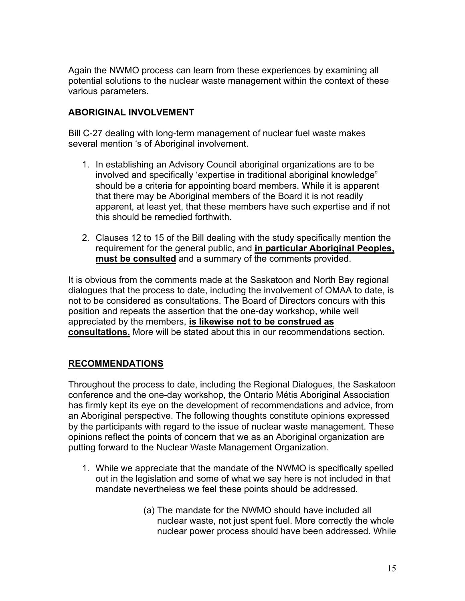Again the NWMO process can learn from these experiences by examining all potential solutions to the nuclear waste management within the context of these various parameters.

## **ABORIGINAL INVOLVEMENT**

Bill C-27 dealing with long-term management of nuclear fuel waste makes several mention 's of Aboriginal involvement.

- 1. In establishing an Advisory Council aboriginal organizations are to be involved and specifically 'expertise in traditional aboriginal knowledge" should be a criteria for appointing board members. While it is apparent that there may be Aboriginal members of the Board it is not readily apparent, at least yet, that these members have such expertise and if not this should be remedied forthwith.
- 2. Clauses 12 to 15 of the Bill dealing with the study specifically mention the requirement for the general public, and **in particular Aboriginal Peoples, must be consulted** and a summary of the comments provided.

It is obvious from the comments made at the Saskatoon and North Bay regional dialogues that the process to date, including the involvement of OMAA to date, is not to be considered as consultations. The Board of Directors concurs with this position and repeats the assertion that the one-day workshop, while well appreciated by the members, **is likewise not to be construed as consultations.** More will be stated about this in our recommendations section.

## **RECOMMENDATIONS**

Throughout the process to date, including the Regional Dialogues, the Saskatoon conference and the one-day workshop, the Ontario Métis Aboriginal Association has firmly kept its eye on the development of recommendations and advice, from an Aboriginal perspective. The following thoughts constitute opinions expressed by the participants with regard to the issue of nuclear waste management. These opinions reflect the points of concern that we as an Aboriginal organization are putting forward to the Nuclear Waste Management Organization.

- 1. While we appreciate that the mandate of the NWMO is specifically spelled out in the legislation and some of what we say here is not included in that mandate nevertheless we feel these points should be addressed.
	- (a) The mandate for the NWMO should have included all nuclear waste, not just spent fuel. More correctly the whole nuclear power process should have been addressed. While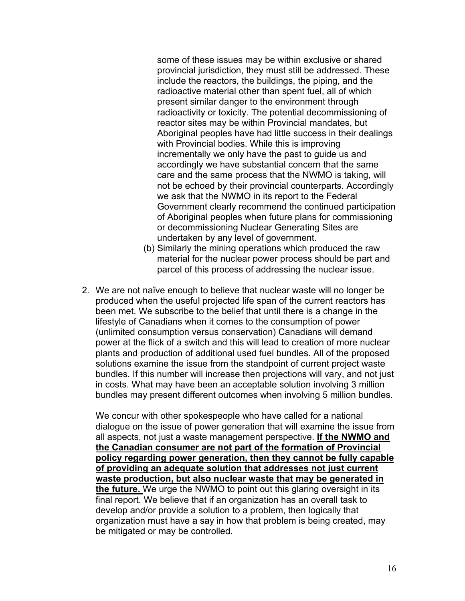some of these issues may be within exclusive or shared provincial jurisdiction, they must still be addressed. These include the reactors, the buildings, the piping, and the radioactive material other than spent fuel, all of which present similar danger to the environment through radioactivity or toxicity. The potential decommissioning of reactor sites may be within Provincial mandates, but Aboriginal peoples have had little success in their dealings with Provincial bodies. While this is improving incrementally we only have the past to guide us and accordingly we have substantial concern that the same care and the same process that the NWMO is taking, will not be echoed by their provincial counterparts. Accordingly we ask that the NWMO in its report to the Federal Government clearly recommend the continued participation of Aboriginal peoples when future plans for commissioning or decommissioning Nuclear Generating Sites are undertaken by any level of government.

- (b) Similarly the mining operations which produced the raw material for the nuclear power process should be part and parcel of this process of addressing the nuclear issue.
- 2. We are not naïve enough to believe that nuclear waste will no longer be produced when the useful projected life span of the current reactors has been met. We subscribe to the belief that until there is a change in the lifestyle of Canadians when it comes to the consumption of power (unlimited consumption versus conservation) Canadians will demand power at the flick of a switch and this will lead to creation of more nuclear plants and production of additional used fuel bundles. All of the proposed solutions examine the issue from the standpoint of current project waste bundles. If this number will increase then projections will vary, and not just in costs. What may have been an acceptable solution involving 3 million bundles may present different outcomes when involving 5 million bundles.

We concur with other spokespeople who have called for a national dialogue on the issue of power generation that will examine the issue from all aspects, not just a waste management perspective. **If the NWMO and the Canadian consumer are not part of the formation of Provincial policy regarding power generation, then they cannot be fully capable of providing an adequate solution that addresses not just current waste production, but also nuclear waste that may be generated in the future.** We urge the NWMO to point out this glaring oversight in its final report. We believe that if an organization has an overall task to develop and/or provide a solution to a problem, then logically that organization must have a say in how that problem is being created, may be mitigated or may be controlled.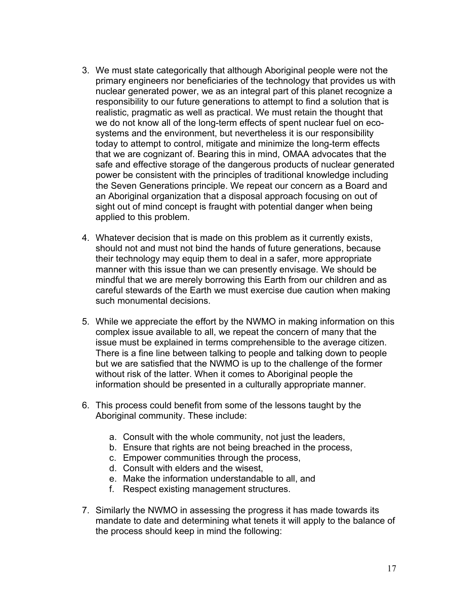- 3. We must state categorically that although Aboriginal people were not the primary engineers nor beneficiaries of the technology that provides us with nuclear generated power, we as an integral part of this planet recognize a responsibility to our future generations to attempt to find a solution that is realistic, pragmatic as well as practical. We must retain the thought that we do not know all of the long-term effects of spent nuclear fuel on ecosystems and the environment, but nevertheless it is our responsibility today to attempt to control, mitigate and minimize the long-term effects that we are cognizant of. Bearing this in mind, OMAA advocates that the safe and effective storage of the dangerous products of nuclear generated power be consistent with the principles of traditional knowledge including the Seven Generations principle. We repeat our concern as a Board and an Aboriginal organization that a disposal approach focusing on out of sight out of mind concept is fraught with potential danger when being applied to this problem.
- 4. Whatever decision that is made on this problem as it currently exists, should not and must not bind the hands of future generations, because their technology may equip them to deal in a safer, more appropriate manner with this issue than we can presently envisage. We should be mindful that we are merely borrowing this Earth from our children and as careful stewards of the Earth we must exercise due caution when making such monumental decisions.
- 5. While we appreciate the effort by the NWMO in making information on this complex issue available to all, we repeat the concern of many that the issue must be explained in terms comprehensible to the average citizen. There is a fine line between talking to people and talking down to people but we are satisfied that the NWMO is up to the challenge of the former without risk of the latter. When it comes to Aboriginal people the information should be presented in a culturally appropriate manner.
- 6. This process could benefit from some of the lessons taught by the Aboriginal community. These include:
	- a. Consult with the whole community, not just the leaders,
	- b. Ensure that rights are not being breached in the process,
	- c. Empower communities through the process,
	- d. Consult with elders and the wisest,
	- e. Make the information understandable to all, and
	- f. Respect existing management structures.
- 7. Similarly the NWMO in assessing the progress it has made towards its mandate to date and determining what tenets it will apply to the balance of the process should keep in mind the following: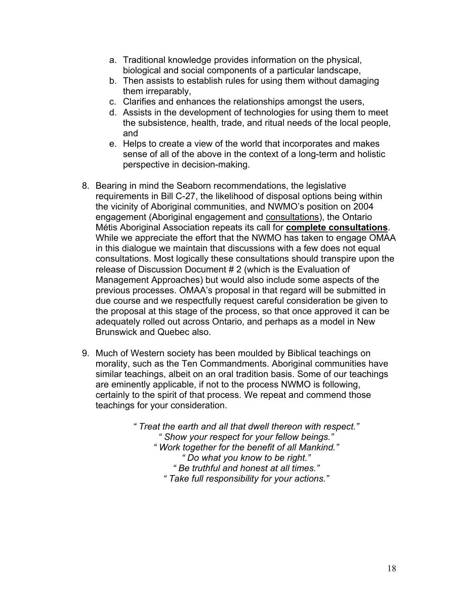- a. Traditional knowledge provides information on the physical, biological and social components of a particular landscape,
- b. Then assists to establish rules for using them without damaging them irreparably,
- c. Clarifies and enhances the relationships amongst the users,
- d. Assists in the development of technologies for using them to meet the subsistence, health, trade, and ritual needs of the local people, and
- e. Helps to create a view of the world that incorporates and makes sense of all of the above in the context of a long-term and holistic perspective in decision-making.
- 8. Bearing in mind the Seaborn recommendations, the legislative requirements in Bill C-27, the likelihood of disposal options being within the vicinity of Aboriginal communities, and NWMO's position on 2004 engagement (Aboriginal engagement and consultations), the Ontario Métis Aboriginal Association repeats its call for **complete consultations**. While we appreciate the effort that the NWMO has taken to engage OMAA in this dialogue we maintain that discussions with a few does not equal consultations. Most logically these consultations should transpire upon the release of Discussion Document # 2 (which is the Evaluation of Management Approaches) but would also include some aspects of the previous processes. OMAA's proposal in that regard will be submitted in due course and we respectfully request careful consideration be given to the proposal at this stage of the process, so that once approved it can be adequately rolled out across Ontario, and perhaps as a model in New Brunswick and Quebec also.
- 9. Much of Western society has been moulded by Biblical teachings on morality, such as the Ten Commandments. Aboriginal communities have similar teachings, albeit on an oral tradition basis. Some of our teachings are eminently applicable, if not to the process NWMO is following, certainly to the spirit of that process. We repeat and commend those teachings for your consideration.

*" Treat the earth and all that dwell thereon with respect." " Show your respect for your fellow beings." " Work together for the benefit of all Mankind." " Do what you know to be right." " Be truthful and honest at all times." " Take full responsibility for your actions."*